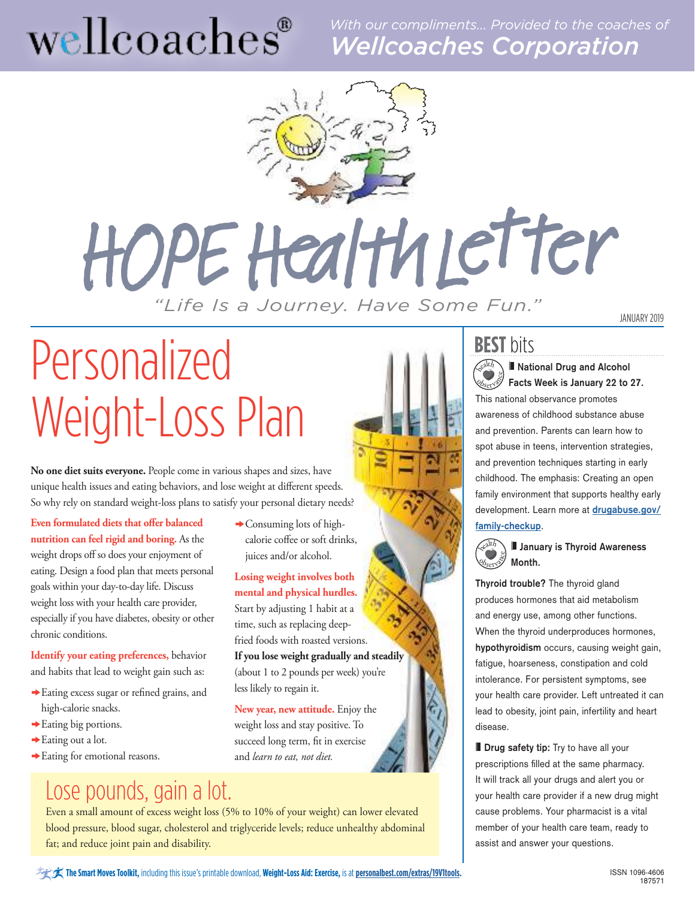## wellcoaches<sup>®</sup>

*With our compliments… Provided to the coaches of Wellcoaches Corporation*



# HOPE Health Letter

*"Life Is a Journey. Have Some Fun."*

JANUARY 2019

## Personalized Weight-Loss Plan

**No one diet suits everyone.** People come in various shapes and sizes, have unique health issues and eating behaviors, and lose weight at different speeds. So why rely on standard weight-loss plans to satisfy your personal dietary needs?

**Even formulated diets that offer balanced nutrition can feel rigid and boring.** As the weight drops off so does your enjoyment of eating. Design a food plan that meets personal goals within your day-to-day life. Discuss weight loss with your health care provider, especially if you have diabetes, obesity or other chronic conditions.

**Identify your eating preferences,** behavior and habits that lead to weight gain such as:

- $\rightarrow$  Eating excess sugar or refined grains, and high-calorie snacks.
- $\rightarrow$  Eating big portions.
- $\rightarrow$  Eating out a lot.
- $\rightarrow$  Eating for emotional reasons.

#### Lose pounds, gain a lot. Even a small amount of excess weight loss (5% to 10% of your weight) can lower elevated

 $\rightarrow$  Consuming lots of highcalorie coffee or soft drinks, juices and/or alcohol.

**Losing weight involves both mental and physical hurdles.** Start by adjusting 1 habit at a time, such as replacing deepfried foods with roasted versions. **If you lose weight gradually and steadily**  (about 1 to 2 pounds per week) you're less likely to regain it.

**New year, new attitude.** Enjoy the weight loss and stay positive. To succeed long term, fit in exercise and *learn to eat, not diet.* 

#### **BEST** bits

**National Drug and Alcohol Facts Week is January 22 to 27.** <sup>h</sup>ealt<sup>h</sup> **COSEEVANCE** 

This national observance promotes awareness of childhood substance abuse and prevention. Parents can learn how to spot abuse in teens, intervention strategies, and prevention techniques starting in early childhood. The emphasis: Creating an open family environment that supports healthy early development. Learn more at **drugabuse.gov/ family-checkup**.



#### **January is Thyroid Awareness Month.**

**Thyroid trouble?** The thyroid gland produces hormones that aid metabolism and energy use, among other functions. When the thyroid underproduces hormones, **hypothyroidism** occurs, causing weight gain, fatigue, hoarseness, constipation and cold intolerance. For persistent symptoms, see your health care provider. Left untreated it can lead to obesity, joint pain, infertility and heart disease.

**Drug safety tip:** Try to have all your prescriptions filled at the same pharmacy. It will track all your drugs and alert you or your health care provider if a new drug might cause problems. Your pharmacist is a vital member of your health care team, ready to assist and answer your questions.

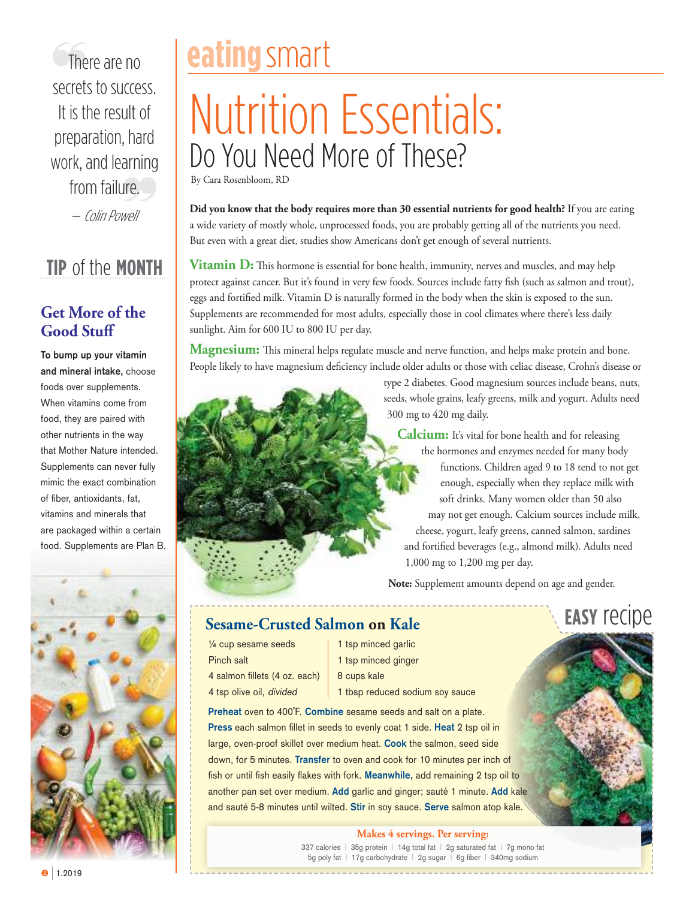There are no secrets to success. It is the result of preparation, hard work, and learning from failure.

— Colin Powell

#### **TIP** of the **MONTH**

#### **Get More of the Good Stuff**

**To bump up your vitamin and mineral intake,** choose foods over supplements. When vitamins come from food, they are paired with other nutrients in the way that Mother Nature intended. Supplements can never fully mimic the exact combination of fiber, antioxidants, fat, vitamins and minerals that are packaged within a certain food. Supplements are Plan B.



### **eating**smart

### Nutrition Essentials: Do You Need More of These?

By Cara Rosenbloom, RD

Did you know that the body requires more than 30 essential nutrients for good health? If you are eating a wide variety of mostly whole, unprocessed foods, you are probably getting all of the nutrients you need. But even with a great diet, studies show Americans don't get enough of several nutrients.

**Vitamin D:** This hormone is essential for bone health, immunity, nerves and muscles, and may help protect against cancer. But it's found in very few foods. Sources include fatty fish (such as salmon and trout), eggs and fortified milk. Vitamin D is naturally formed in the body when the skin is exposed to the sun. Supplements are recommended for most adults, especially those in cool climates where there's less daily sunlight. Aim for 600 IU to 800 IU per day.

**Magnesium:** This mineral helps regulate muscle and nerve function, and helps make protein and bone. People likely to have magnesium deficiency include older adults or those with celiac disease, Crohn's disease or

> type 2 diabetes. Good magnesium sources include beans, nuts, seeds, whole grains, leafy greens, milk and yogurt. Adults need 300 mg to 420 mg daily.

**Calcium:** It's vital for bone health and for releasing the hormones and enzymes needed for many body functions. Children aged 9 to 18 tend to not get enough, especially when they replace milk with soft drinks. Many women older than 50 also may not get enough. Calcium sources include milk, cheese, yogurt, leafy greens, canned salmon, sardines and fortified beverages (e.g., almond milk). Adults need 1,000 mg to 1,200 mg per day.

**EASY** recipe

**Note:** Supplement amounts depend on age and gender.

#### **Sesame-Crusted Salmon on Kale**

- ¼ cup sesame seeds Pinch salt
	-
- 4 salmon fillets (4 oz. each)
- 4 tsp olive oil, divided
- 1 tsp minced garlic 1 tsp minced ginger
- 8 cups kale
- 1 tbsp reduced sodium soy sauce

**Preheat** oven to 400˚F. **Combine** sesame seeds and salt on a plate. **Press** each salmon fillet in seeds to evenly coat 1 side. **Heat** 2 tsp oil in large, oven-proof skillet over medium heat. **Cook** the salmon, seed side down, for 5 minutes. **Transfer** to oven and cook for 10 minutes per inch of fish or until fish easily flakes with fork. **Meanwhile,** add remaining 2 tsp oil to another pan set over medium. **Add** garlic and ginger; sauté 1 minute. **Add** kale and sauté 5-8 minutes until wilted. **Stir** in soy sauce. **Serve** salmon atop kale.

#### **Makes 4 servings. Per serving:**

337 calories | 35g protein | 14g total fat | 2g saturated fat | 7g mono fat 5g poly fat | 17g carbohydrate | 2g sugar | 6g fiber | 340mg sodium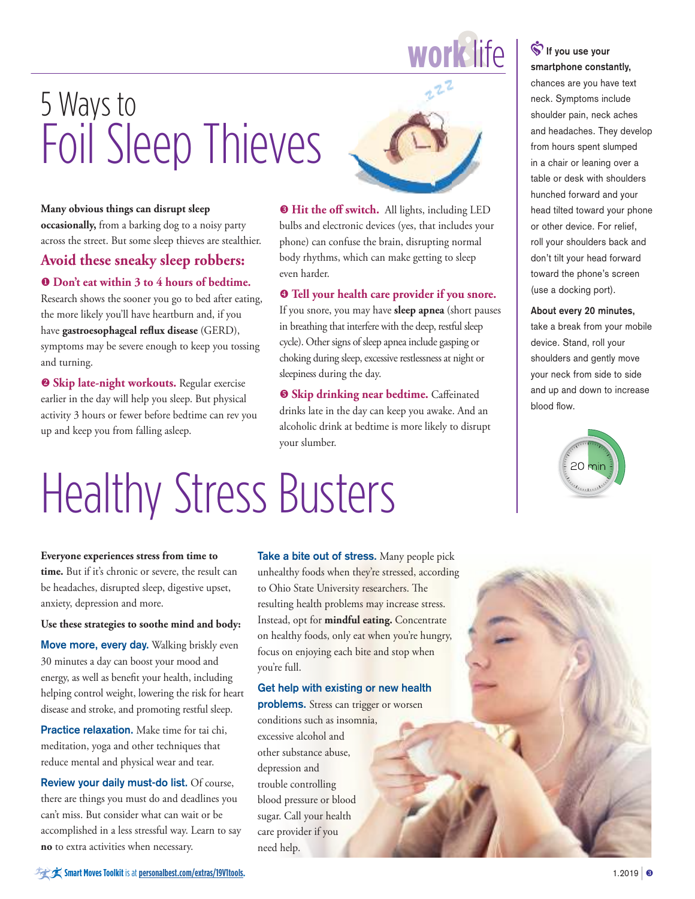### 5 Ways to Foil Sleep Thieves



**Many obvious things can disrupt sleep occasionally,** from a barking dog to a noisy party across the street. But some sleep thieves are stealthier.

#### **Avoid these sneaky sleep robbers:**

u **Don't eat within 3 to 4 hours of bedtime.** Research shows the sooner you go to bed after eating, the more likely you'll have heartburn and, if you have **gastroesophageal reflux disease** (GERD), symptoms may be severe enough to keep you tossing and turning.

 **Skip late-night workouts.** Regular exercise earlier in the day will help you sleep. But physical activity 3 hours or fewer before bedtime can rev you up and keep you from falling asleep.

 **Hit the off switch.** All lights, including LED bulbs and electronic devices (yes, that includes your phone) can confuse the brain, disrupting normal body rhythms, which can make getting to sleep even harder.

#### $\bullet$  Tell your health care provider if you snore.

If you snore, you may have **sleep apnea** (short pauses in breathing that interfere with the deep, restful sleep cycle). Other signs of sleep apnea include gasping or choking during sleep, excessive restlessness at night or sleepiness during the day.

 $\Theta$  **Skip drinking near bedtime.** Caffeinated drinks late in the day can keep you awake. And an alcoholic drink at bedtime is more likely to disrupt your slumber.

## Healthy Stress Busters

**work**  $\mathsf{life}$  **S** If you use your **smartphone constantly,** 

> chances are you have text neck. Symptoms include shoulder pain, neck aches and headaches. They develop from hours spent slumped in a chair or leaning over a table or desk with shoulders hunched forward and your head tilted toward your phone or other device. For relief, roll your shoulders back and don't tilt your head forward toward the phone's screen (use a docking port).

#### **About every 20 minutes,**

take a break from your mobile device. Stand, roll your shoulders and gently move your neck from side to side and up and down to increase blood flow.



**Everyone experiences stress from time to time.** But if it's chronic or severe, the result can be headaches, disrupted sleep, digestive upset, anxiety, depression and more.

#### **Use these strategies to soothe mind and body:**

**Move more, every day.** Walking briskly even 30 minutes a day can boost your mood and energy, as well as benefit your health, including helping control weight, lowering the risk for heart disease and stroke, and promoting restful sleep.

**Practice relaxation.** Make time for tai chi, meditation, yoga and other techniques that reduce mental and physical wear and tear.

**Review your daily must-do list.** Of course, there are things you must do and deadlines you can't miss. But consider what can wait or be accomplished in a less stressful way. Learn to say **no** to extra activities when necessary.

**Take a bite out of stress.** Many people pick unhealthy foods when they're stressed, according to Ohio State University researchers. The resulting health problems may increase stress. Instead, opt for **mindful eating.** Concentrate on healthy foods, only eat when you're hungry, focus on enjoying each bite and stop when you're full.

#### **Get help with existing or new health**

**problems.** Stress can trigger or worsen conditions such as insomnia, excessive alcohol and other substance abuse, depression and trouble controlling blood pressure or blood sugar. Call your health care provider if you need help.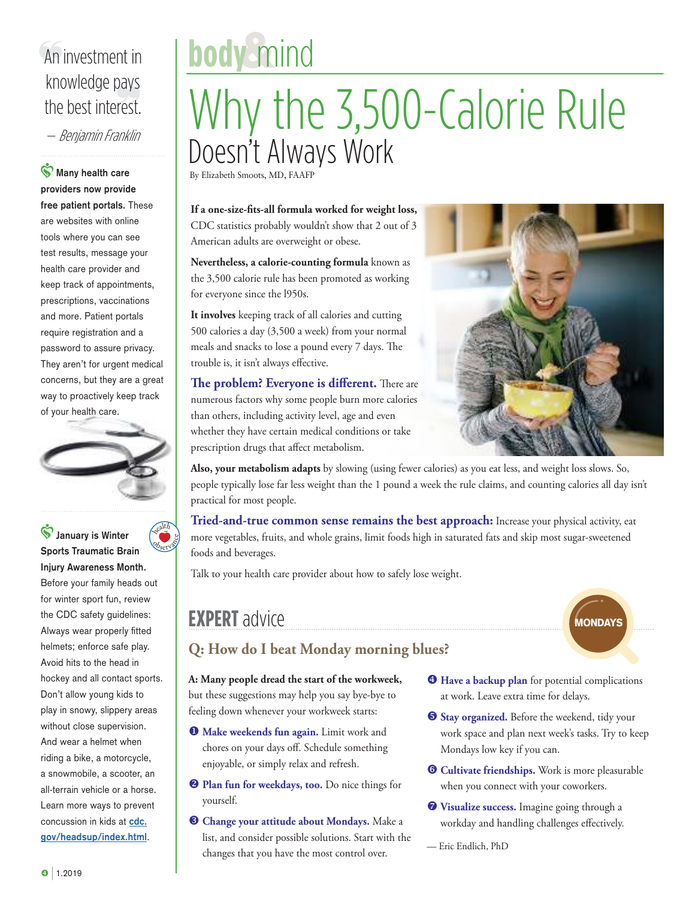#### An investment in knowledge pays the best interest.

— Benjamin Franklin

**Many health care providers now provide free patient portals.** These are websites with online tools where you can see test results, message your health care provider and keep track of appointments, prescriptions, vaccinations and more. Patient portals require registration and a password to assure privacy. They aren't for urgent medical concerns, but they are a great way to proactively keep track of your health care.



<sup>h</sup>ealt<sup>h</sup> **ebserved** 

**January is Winter Sports Traumatic Brain** 

**Injury Awareness Month.**  Before your family heads out for winter sport fun, review the CDC safety guidelines: Always wear properly fitted helmets; enforce safe play. Avoid hits to the head in hockey and all contact sports. Don't allow young kids to play in snowy, slippery areas without close supervision. And wear a helmet when riding a bike, a motorcycle, a snowmobile, a scooter, an all-terrain vehicle or a horse. Learn more ways to prevent concussion in kids at **cdc. gov/headsup/index.html**.

### **body** mind

### Why the 3,500-Calorie Rule Doesn't Always Work

By Elizabeth Smoots, MD, FAAFP

**If a one-size-fits-all formula worked for weight loss,**  CDC statistics probably wouldn't show that 2 out of 3 American adults are overweight or obese.

**Nevertheless, a calorie-counting formula** known as the 3,500 calorie rule has been promoted as working for everyone since the l950s.

**It involves** keeping track of all calories and cutting 500 calories a day (3,500 a week) from your normal meals and snacks to lose a pound every 7 days. The trouble is, it isn't always effective.

**The problem? Everyone is different.** There are numerous factors why some people burn more calories than others, including activity level, age and even whether they have certain medical conditions or take prescription drugs that affect metabolism.



**Also, your metabolism adapts** by slowing (using fewer calories) as you eat less, and weight loss slows. So, people typically lose far less weight than the 1 pound a week the rule claims, and counting calories all day isn't practical for most people.

**Tried-and-true common sense remains the best approach:** Increase your physical activity, eat more vegetables, fruits, and whole grains, limit foods high in saturated fats and skip most sugar-sweetened foods and beverages.

Talk to your health care provider about how to safely lose weight.

#### **EXPERT** advice

# **MONDAYS**

#### **Q: How do I beat Monday morning blues?**

#### **A: Many people dread the start of the workweek,**

but these suggestions may help you say bye-bye to feeling down whenever your workweek starts:

- **O** Make weekends fun again. Limit work and chores on your days off. Schedule something enjoyable, or simply relax and refresh.
- **Plan fun for weekdays, too.** Do nice things for yourself.
- **Change your attitude about Mondays.** Make a list, and consider possible solutions. Start with the changes that you have the most control over.
- $\Theta$  Have a backup plan for potential complications at work. Leave extra time for delays.
- **S** Stay organized. Before the weekend, tidy your work space and plan next week's tasks. Try to keep Mondays low key if you can.
- **O** Cultivate friendships. Work is more pleasurable when you connect with your coworkers.
- **Visualize success.** Imagine going through a workday and handling challenges effectively.
- Eric Endlich, PhD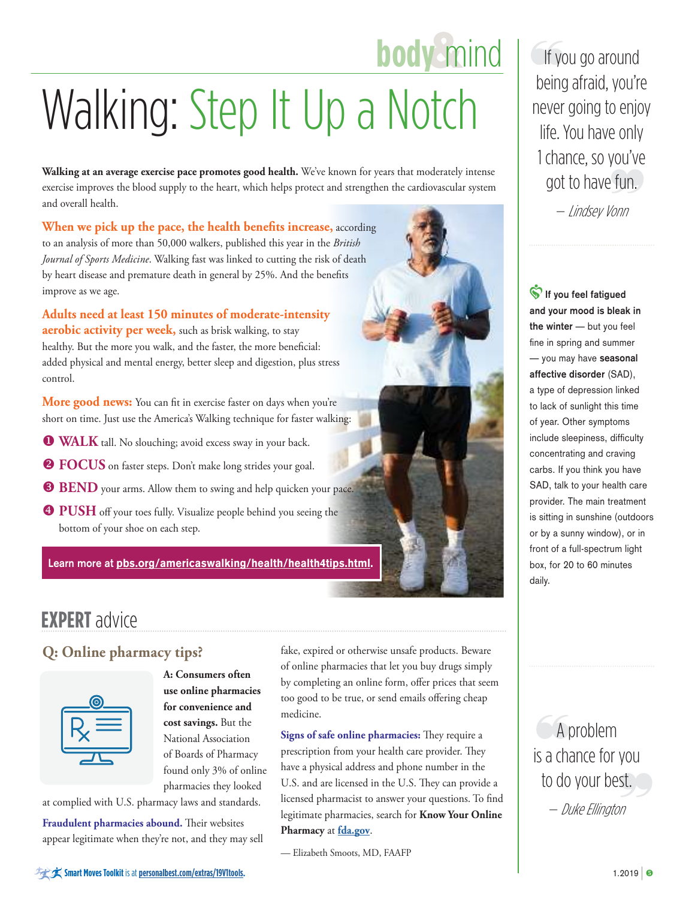### **body** mind Walking: Step It Up a Notch

**Walking at an average exercise pace promotes good health.** We've known for years that moderately intense exercise improves the blood supply to the heart, which helps protect and strengthen the cardiovascular system and overall health.

**When we pick up the pace, the health benefits increase,** according to an analysis of more than 50,000 walkers, published this year in the *British Journal of Sports Medicine*. Walking fast was linked to cutting the risk of death by heart disease and premature death in general by 25%. And the benefits improve as we age.

**Adults need at least 150 minutes of moderate-intensity aerobic activity per week,** such as brisk walking, to stay healthy. But the more you walk, and the faster, the more beneficial: added physical and mental energy, better sleep and digestion, plus stress control.

**More good news:** You can fit in exercise faster on days when you're short on time. Just use the America's Walking technique for faster walking:

- **WALK** tall. No slouching; avoid excess sway in your back.
- **P FOCUS** on faster steps. Don't make long strides your goal.
- **BEND** your arms. Allow them to swing and help quicken your pace.
- **PUSH** off your toes fully. Visualize people behind you seeing the bottom of your shoe on each step.

**Learn more at** pbs.org/americaswalking/health/health4tips.html.

#### **EXPERT** advice

#### **Q: Online pharmacy tips?**



**A: Consumers often use online pharmacies for convenience and cost savings.** But the National Association of Boards of Pharmacy found only 3% of online pharmacies they looked

at complied with U.S. pharmacy laws and standards.

**Fraudulent pharmacies abound.** Their websites appear legitimate when they're not, and they may sell fake, expired or otherwise unsafe products. Beware of online pharmacies that let you buy drugs simply by completing an online form, offer prices that seem too good to be true, or send emails offering cheap medicine.

**Signs of safe online pharmacies:** They require a prescription from your health care provider. They have a physical address and phone number in the U.S. and are licensed in the U.S. They can provide a licensed pharmacist to answer your questions. To find legitimate pharmacies, search for **Know Your Online Pharmacy** at **fda.gov**.

If you go around being afraid, you're never going to enjoy life. You have only 1 chance, so you've got to have fun. — Lindsey Vonn

 $\hat{\mathbf{S}}$  If you feel fatigued **and your mood is bleak in the winter** — but you feel fine in spring and summer — you may have **seasonal affective disorder** (SAD), a type of depression linked to lack of sunlight this time of year. Other symptoms include sleepiness, difficulty concentrating and craving carbs. If you think you have SAD, talk to your health care provider. The main treatment is sitting in sunshine (outdoors or by a sunny window), or in front of a full-spectrum light box, for 20 to 60 minutes daily.

A problem is a chance for you to do your best. — Duke Ellington

<sup>—</sup> Elizabeth Smoots, MD, FAAFP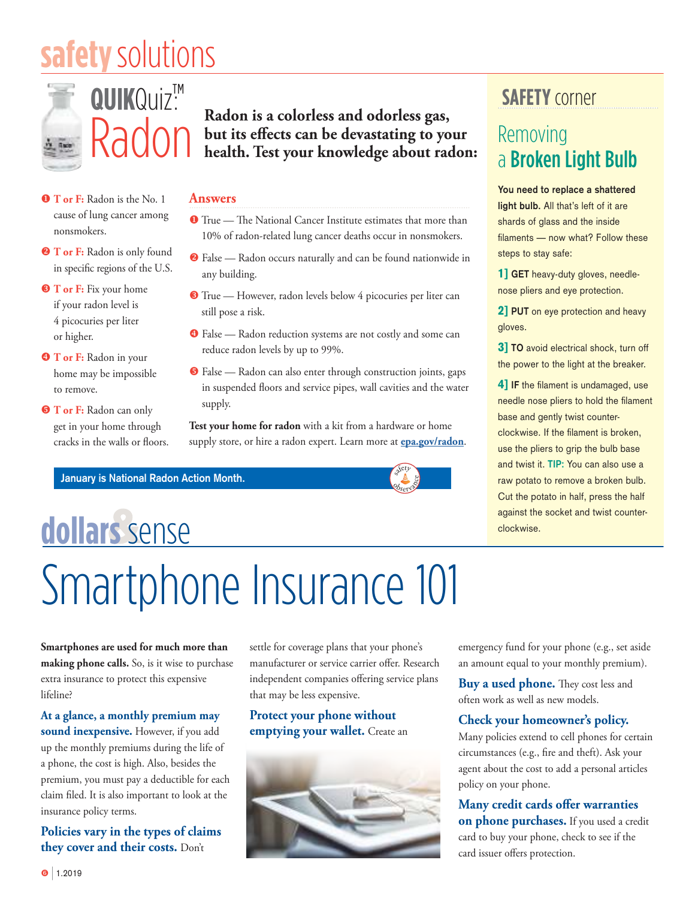### **safety**solutions

**QUIK**Quiz™

Radon

:<br>:



**Radon is a colorless and odorless gas, but its effects can be devastating to your health. Test your knowledge about radon:**

- **O** T or F: Radon is the No. 1 cause of lung cancer among nonsmokers.
- **<sup>O</sup>** T or F: Radon is only found in specific regions of the U.S.
- $\bullet$  **T or F:** Fix your home if your radon level is 4 picocuries per liter or higher.
- **O** T or F: Radon in your home may be impossible to remove.
- $\bullet$  **T or F:** Radon can only get in your home through cracks in the walls or floors.

#### **Answers**

- **True** The National Cancer Institute estimates that more than 10% of radon-related lung cancer deaths occur in nonsmokers.
- False Radon occurs naturally and can be found nationwide in any building.
- True However, radon levels below 4 picocuries per liter can still pose a risk.
- **•** False Radon reduction systems are not costly and some can reduce radon levels by up to 99%.
- **•** False Radon can also enter through construction joints, gaps in suspended floors and service pipes, wall cavities and the water supply.

**Test your home for radon** with a kit from a hardware or home supply store, or hire a radon expert. Learn more at **epa.gov/radon**.

**Observance** 

**January is National Radon Action Month.** 

### Smartphone Insurance 101 **dollars** sense

**Smartphones are used for much more than making phone calls.** So, is it wise to purchase extra insurance to protect this expensive lifeline?

**At a glance, a monthly premium may sound inexpensive.** However, if you add up the monthly premiums during the life of a phone, the cost is high. Also, besides the premium, you must pay a deductible for each claim filed. It is also important to look at the insurance policy terms.

**Policies vary in the types of claims they cover and their costs.** Don't

settle for coverage plans that your phone's manufacturer or service carrier offer. Research independent companies offering service plans that may be less expensive.

#### **Protect your phone without emptying your wallet.** Create an



emergency fund for your phone (e.g., set aside an amount equal to your monthly premium).

**Buy a used phone.** They cost less and often work as well as new models.

#### **Check your homeowner's policy.**

Many policies extend to cell phones for certain circumstances (e.g., fire and theft). Ask your agent about the cost to add a personal articles policy on your phone.

#### **Many credit cards offer warranties on phone purchases.** If you used a credit

card to buy your phone, check to see if the card issuer offers protection.

#### **SAFETY** corner

#### Removing a Broken Light Bulb

**You need to replace a shattered light bulb.** All that's left of it are shards of glass and the inside filaments — now what? Follow these steps to stay safe:

1] **GET** heavy-duty gloves, needlenose pliers and eye protection.

2] **PUT** on eye protection and heavy gloves.

3] **TO** avoid electrical shock, turn off the power to the light at the breaker.

4] **IF** the filament is undamaged, use needle nose pliers to hold the filament base and gently twist counterclockwise. If the filament is broken, use the pliers to grip the bulb base and twist it. **TIP:** You can also use a raw potato to remove a broken bulb. Cut the potato in half, press the half against the socket and twist counterclockwise.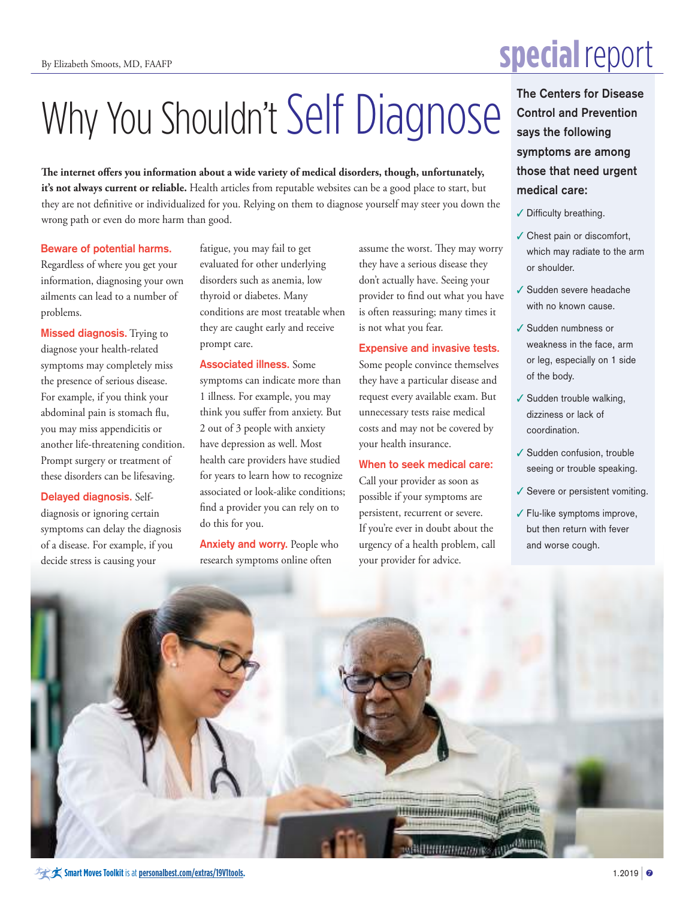## Why You Shouldn't Self Diagnose **The Centers for Disease**

**The internet offers you information about a wide variety of medical disorders, though, unfortunately, it's not always current or reliable.** Health articles from reputable websites can be a good place to start, but they are not definitive or individualized for you. Relying on them to diagnose yourself may steer you down the wrong path or even do more harm than good.

#### **Beware of potential harms.**

Regardless of where you get your information, diagnosing your own ailments can lead to a number of problems.

**Missed diagnosis.** Trying to diagnose your health-related symptoms may completely miss the presence of serious disease. For example, if you think your abdominal pain is stomach flu, you may miss appendicitis or another life-threatening condition. Prompt surgery or treatment of these disorders can be lifesaving.

**Delayed diagnosis.** Selfdiagnosis or ignoring certain symptoms can delay the diagnosis of a disease. For example, if you decide stress is causing your

fatigue, you may fail to get evaluated for other underlying disorders such as anemia, low thyroid or diabetes. Many conditions are most treatable when they are caught early and receive prompt care.

**Associated illness.** Some symptoms can indicate more than 1 illness. For example, you may think you suffer from anxiety. But 2 out of 3 people with anxiety have depression as well. Most health care providers have studied for years to learn how to recognize associated or look-alike conditions; find a provider you can rely on to do this for you.

**Anxiety and worry.** People who research symptoms online often

assume the worst. They may worry they have a serious disease they don't actually have. Seeing your provider to find out what you have is often reassuring; many times it is not what you fear.

#### **Expensive and invasive tests.**

Some people convince themselves they have a particular disease and request every available exam. But unnecessary tests raise medical costs and may not be covered by your health insurance.

#### **When to seek medical care:**

Call your provider as soon as possible if your symptoms are persistent, recurrent or severe. If you're ever in doubt about the urgency of a health problem, call your provider for advice.

### **special**report

**Control and Prevention says the following symptoms are among those that need urgent medical care:** 

- $\checkmark$  Difficulty breathing.
- $\checkmark$  Chest pain or discomfort, which may radiate to the arm or shoulder.
- ✔ Sudden severe headache with no known cause.
- ✔ Sudden numbness or weakness in the face, arm or leg, especially on 1 side of the body.
- $\checkmark$  Sudden trouble walking, dizziness or lack of coordination.
- $\checkmark$  Sudden confusion, trouble seeing or trouble speaking.
- $\checkmark$  Severe or persistent vomiting.
- $\checkmark$  Flu-like symptoms improve, but then return with fever and worse cough.